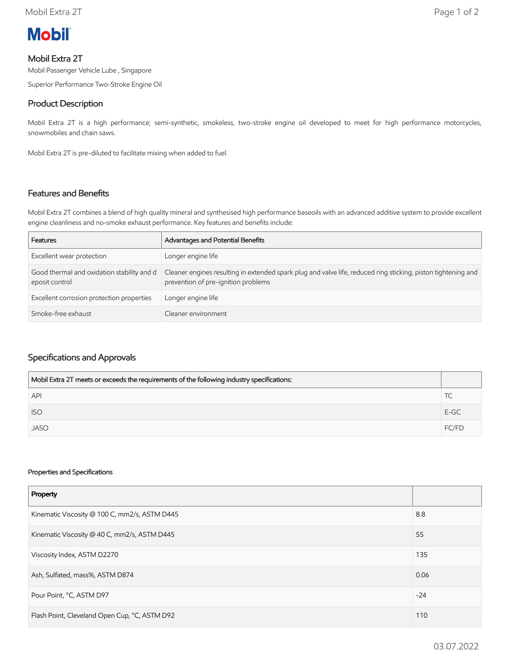

# Mobil Extra 2T

Mobil Passenger Vehicle Lube , Singapore

Superior Performance Two-Stroke Engine Oil

# Product Description

Mobil Extra 2T is a high performance; semi-synthetic, smokeless, two-stroke engine oil developed to meet for high performance motorcycles, snowmobiles and chain saws.

Mobil Extra 2T is pre-diluted to facilitate mixing when added to fuel.

#### Features and Benefits

Mobil Extra 2T combines a blend of high quality mineral and synthesised high performance baseoils with an advanced additive system to provide excellent engine cleanliness and no-smoke exhaust performance. Key features and benefits include:

| Features                                                     | Advantages and Potential Benefits                                                                                                                    |
|--------------------------------------------------------------|------------------------------------------------------------------------------------------------------------------------------------------------------|
| Excellent wear protection                                    | Longer engine life                                                                                                                                   |
| Good thermal and oxidation stability and d<br>eposit control | Cleaner engines resulting in extended spark plug and valve life, reduced ring sticking, piston tightening and<br>prevention of pre-ignition problems |
| Excellent corrosion protection properties                    | Longer engine life                                                                                                                                   |
| Smoke-free exhaust                                           | Cleaner environment                                                                                                                                  |

### Specifications and Approvals

| Mobil Extra 2T meets or exceeds the requirements of the following industry specifications: |        |
|--------------------------------------------------------------------------------------------|--------|
| <b>API</b>                                                                                 | IC.    |
| <b>ISO</b>                                                                                 | $E-GC$ |
| <b>JASO</b>                                                                                | FC/FD  |

#### Properties and Specifications

| Property                                      |       |
|-----------------------------------------------|-------|
| Kinematic Viscosity @ 100 C, mm2/s, ASTM D445 | 8.8   |
| Kinematic Viscosity @ 40 C, mm2/s, ASTM D445  | 55    |
| Viscosity Index, ASTM D2270                   | 135   |
| Ash, Sulfated, mass%, ASTM D874               | 0.06  |
| Pour Point, °C, ASTM D97                      | $-24$ |
| Flash Point, Cleveland Open Cup, °C, ASTM D92 | 110   |